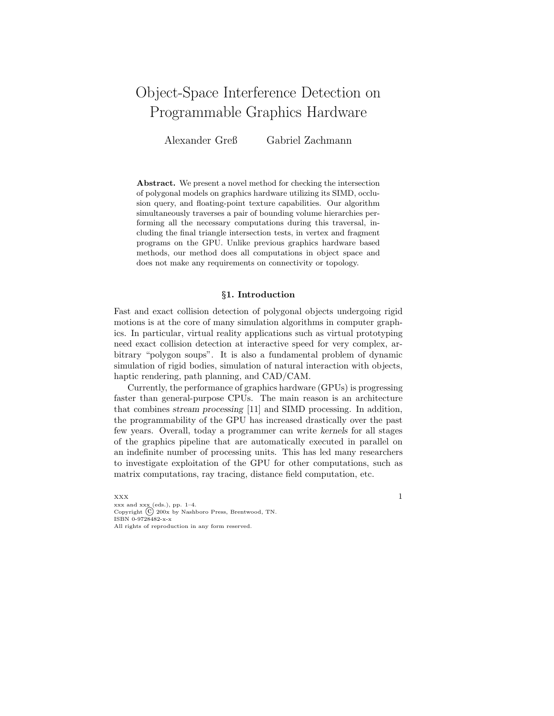# Object-Space Interference Detection on Programmable Graphics Hardware

Alexander Greß Gabriel Zachmann

**Abstract.** We present a novel method for checking the intersection of polygonal models on graphics hardware utilizing its SIMD, occlusion query, and floating-point texture capabilities. Our algorithm simultaneously traverses a pair of bounding volume hierarchies performing all the necessary computations during this traversal, including the final triangle intersection tests, in vertex and fragment programs on the GPU. Unlike previous graphics hardware based methods, our method does all computations in object space and does not make any requirements on connectivity or topology.

## *§***1. Introduction**

Fast and exact collision detection of polygonal objects undergoing rigid motions is at the core of many simulation algorithms in computer graphics. In particular, virtual reality applications such as virtual prototyping need exact collision detection at interactive speed for very complex, arbitrary "polygon soups". It is also a fundamental problem of dynamic simulation of rigid bodies, simulation of natural interaction with objects, haptic rendering, path planning, and CAD/CAM.

Currently, the performance of graphics hardware (GPUs) is progressing faster than general-purpose CPUs. The main reason is an architecture that combines *stream processing* [11] and SIMD processing. In addition, the programmability of the GPU has increased drastically over the past few years. Overall, today a programmer can write *kernels* for all stages of the graphics pipeline that are automatically executed in parallel on an indefinite number of processing units. This has led many researchers to investigate exploitation of the GPU for other computations, such as matrix computations, ray tracing, distance field computation, etc.

 $\lambda$  XXX and  $\lambda$  1  $xxx$  and  $xxx$  (eds.), pp. 1-4. Copyright  $\overline{C}$  200x by Nashboro Press, Brentwood, TN. ISBN 0-9728482-x-x All rights of reproduction in any form reserved.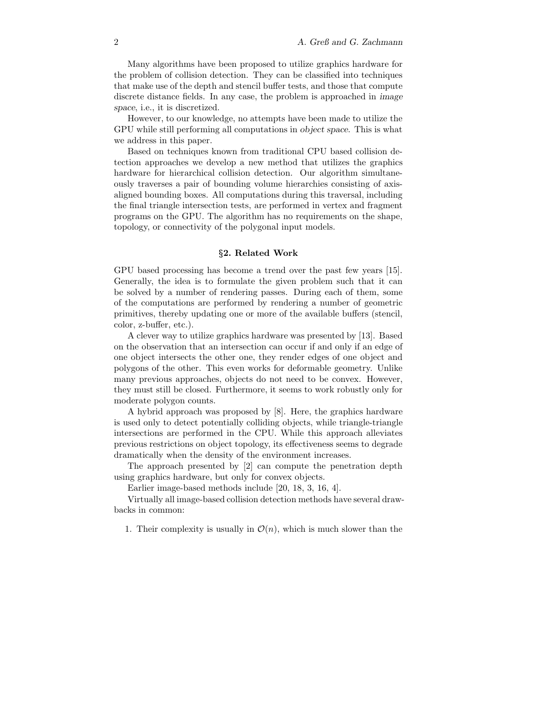Many algorithms have been proposed to utilize graphics hardware for the problem of collision detection. They can be classified into techniques that make use of the depth and stencil buffer tests, and those that compute discrete distance fields. In any case, the problem is approached in *image space*, i.e., it is discretized.

However, to our knowledge, no attempts have been made to utilize the GPU while still performing all computations in *object space*. This is what we address in this paper.

Based on techniques known from traditional CPU based collision detection approaches we develop a new method that utilizes the graphics hardware for hierarchical collision detection. Our algorithm simultaneously traverses a pair of bounding volume hierarchies consisting of axisaligned bounding boxes. All computations during this traversal, including the final triangle intersection tests, are performed in vertex and fragment programs on the GPU. The algorithm has no requirements on the shape, topology, or connectivity of the polygonal input models.

# *§***2. Related Work**

GPU based processing has become a trend over the past few years [15]. Generally, the idea is to formulate the given problem such that it can be solved by a number of rendering passes. During each of them, some of the computations are performed by rendering a number of geometric primitives, thereby updating one or more of the available buffers (stencil, color, z-buffer, etc.).

A clever way to utilize graphics hardware was presented by [13]. Based on the observation that an intersection can occur if and only if an edge of one object intersects the other one, they render edges of one object and polygons of the other. This even works for deformable geometry. Unlike many previous approaches, objects do not need to be convex. However, they must still be closed. Furthermore, it seems to work robustly only for moderate polygon counts.

A hybrid approach was proposed by [8]. Here, the graphics hardware is used only to detect potentially colliding objects, while triangle-triangle intersections are performed in the CPU. While this approach alleviates previous restrictions on object topology, its effectiveness seems to degrade dramatically when the density of the environment increases.

The approach presented by [2] can compute the penetration depth using graphics hardware, but only for convex objects.

Earlier image-based methods include [20, 18, 3, 16, 4].

Virtually all image-based collision detection methods have several drawbacks in common:

1. Their complexity is usually in  $\mathcal{O}(n)$ , which is much slower than the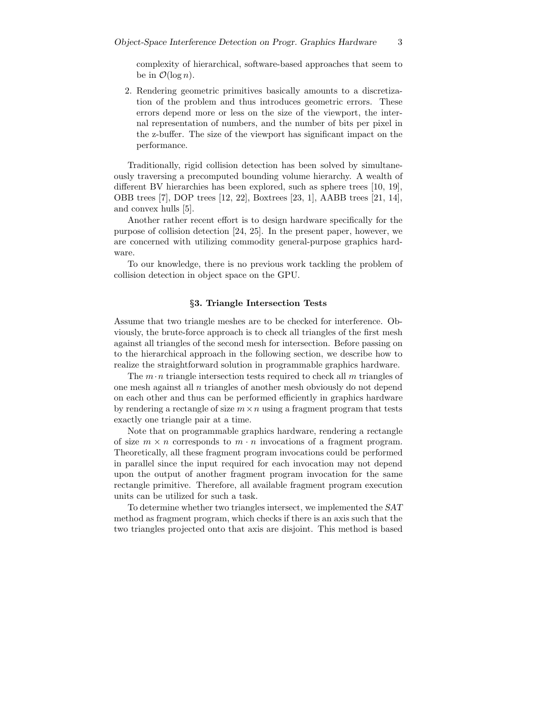complexity of hierarchical, software-based approaches that seem to be in  $\mathcal{O}(\log n)$ .

2. Rendering geometric primitives basically amounts to a discretization of the problem and thus introduces geometric errors. These errors depend more or less on the size of the viewport, the internal representation of numbers, and the number of bits per pixel in the z-buffer. The size of the viewport has significant impact on the performance.

Traditionally, rigid collision detection has been solved by simultaneously traversing a precomputed bounding volume hierarchy. A wealth of different BV hierarchies has been explored, such as sphere trees [10, 19], OBB trees [7], DOP trees [12, 22], Boxtrees [23, 1], AABB trees [21, 14], and convex hulls [5].

Another rather recent effort is to design hardware specifically for the purpose of collision detection [24, 25]. In the present paper, however, we are concerned with utilizing commodity general-purpose graphics hardware.

To our knowledge, there is no previous work tackling the problem of collision detection in object space on the GPU.

#### *§***3. Triangle Intersection Tests**

Assume that two triangle meshes are to be checked for interference. Obviously, the brute-force approach is to check all triangles of the first mesh against all triangles of the second mesh for intersection. Before passing on to the hierarchical approach in the following section, we describe how to realize the straightforward solution in programmable graphics hardware.

The  $m \cdot n$  triangle intersection tests required to check all  $m$  triangles of one mesh against all *n* triangles of another mesh obviously do not depend on each other and thus can be performed efficiently in graphics hardware by rendering a rectangle of size  $m \times n$  using a fragment program that tests exactly one triangle pair at a time.

Note that on programmable graphics hardware, rendering a rectangle of size  $m \times n$  corresponds to  $m \cdot n$  invocations of a fragment program. Theoretically, all these fragment program invocations could be performed in parallel since the input required for each invocation may not depend upon the output of another fragment program invocation for the same rectangle primitive. Therefore, all available fragment program execution units can be utilized for such a task.

To determine whether two triangles intersect, we implemented the *SAT* method as fragment program, which checks if there is an axis such that the two triangles projected onto that axis are disjoint. This method is based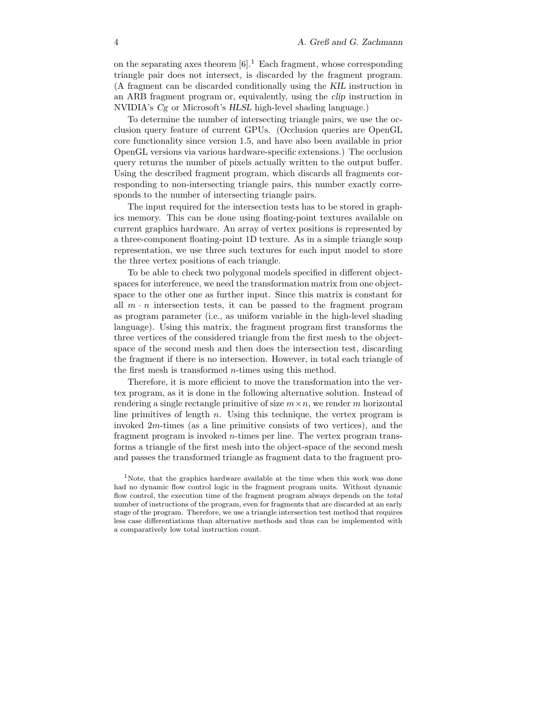on the separating axes theorem  $[6]$ .<sup>1</sup> Each fragment, whose corresponding triangle pair does not intersect, is discarded by the fragment program. (A fragment can be discarded conditionally using the *KIL* instruction in an ARB fragment program or, equivalently, using the *clip* instruction in NVIDIA's *Cg* or Microsoft's *HLSL* high-level shading language.)

To determine the number of intersecting triangle pairs, we use the occlusion query feature of current GPUs. (Occlusion queries are OpenGL core functionality since version 1.5, and have also been available in prior OpenGL versions via various hardware-specific extensions.) The occlusion query returns the number of pixels actually written to the output buffer. Using the described fragment program, which discards all fragments corresponding to non-intersecting triangle pairs, this number exactly corresponds to the number of intersecting triangle pairs.

The input required for the intersection tests has to be stored in graphics memory. This can be done using floating-point textures available on current graphics hardware. An array of vertex positions is represented by a three-component floating-point 1D texture. As in a simple triangle soup representation, we use three such textures for each input model to store the three vertex positions of each triangle.

To be able to check two polygonal models specified in different objectspaces for interference, we need the transformation matrix from one objectspace to the other one as further input. Since this matrix is constant for all  $m \cdot n$  intersection tests, it can be passed to the fragment program as program parameter (i.e., as uniform variable in the high-level shading language). Using this matrix, the fragment program first transforms the three vertices of the considered triangle from the first mesh to the objectspace of the second mesh and then does the intersection test, discarding the fragment if there is no intersection. However, in total each triangle of the first mesh is transformed *n*-times using this method.

Therefore, it is more efficient to move the transformation into the vertex program, as it is done in the following alternative solution. Instead of rendering a single rectangle primitive of size  $m \times n$ , we render *m* horizontal line primitives of length *n*. Using this technique, the vertex program is invoked 2*m*-times (as a line primitive consists of two vertices), and the fragment program is invoked *n*-times per line. The vertex program transforms a triangle of the first mesh into the object-space of the second mesh and passes the transformed triangle as fragment data to the fragment pro-

<sup>1</sup>Note, that the graphics hardware available at the time when this work was done had no dynamic flow control logic in the fragment program units. Without dynamic flow control, the execution time of the fragment program always depends on the *total* number of instructions of the program, even for fragments that are discarded at an early stage of the program. Therefore, we use a triangle intersection test method that requires less case differentiations than alternative methods and thus can be implemented with a comparatively low total instruction count.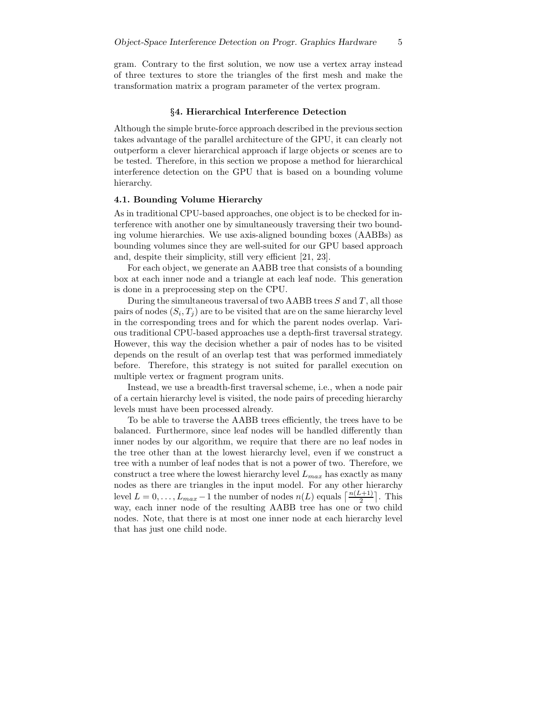gram. Contrary to the first solution, we now use a vertex array instead of three textures to store the triangles of the first mesh and make the transformation matrix a program parameter of the vertex program.

#### *§***4. Hierarchical Interference Detection**

Although the simple brute-force approach described in the previous section takes advantage of the parallel architecture of the GPU, it can clearly not outperform a clever hierarchical approach if large objects or scenes are to be tested. Therefore, in this section we propose a method for hierarchical interference detection on the GPU that is based on a bounding volume hierarchy.

# **4.1. Bounding Volume Hierarchy**

As in traditional CPU-based approaches, one object is to be checked for interference with another one by simultaneously traversing their two bounding volume hierarchies. We use axis-aligned bounding boxes (AABBs) as bounding volumes since they are well-suited for our GPU based approach and, despite their simplicity, still very efficient [21, 23].

For each object, we generate an AABB tree that consists of a bounding box at each inner node and a triangle at each leaf node. This generation is done in a preprocessing step on the CPU.

During the simultaneous traversal of two AABB trees *S* and *T* , all those pairs of nodes  $(S_i, T_j)$  are to be visited that are on the same hierarchy level in the corresponding trees and for which the parent nodes overlap. Various traditional CPU-based approaches use a depth-first traversal strategy. However, this way the decision whether a pair of nodes has to be visited depends on the result of an overlap test that was performed immediately before. Therefore, this strategy is not suited for parallel execution on multiple vertex or fragment program units.

Instead, we use a breadth-first traversal scheme, i.e., when a node pair of a certain hierarchy level is visited, the node pairs of preceding hierarchy levels must have been processed already.

To be able to traverse the AABB trees efficiently, the trees have to be balanced. Furthermore, since leaf nodes will be handled differently than inner nodes by our algorithm, we require that there are no leaf nodes in the tree other than at the lowest hierarchy level, even if we construct a tree with a number of leaf nodes that is not a power of two. Therefore, we construct a tree where the lowest hierarchy level *Lmax* has exactly as many nodes as there are triangles in the input model. For any other hierarchy level  $L = 0, \ldots, L_{max} - 1$  the number of nodes  $n(L)$  equals  $\lceil \frac{n(L+1)}{2} \rceil$ . This way, each inner node of the resulting AABB tree has one or two child nodes. Note, that there is at most one inner node at each hierarchy level that has just one child node.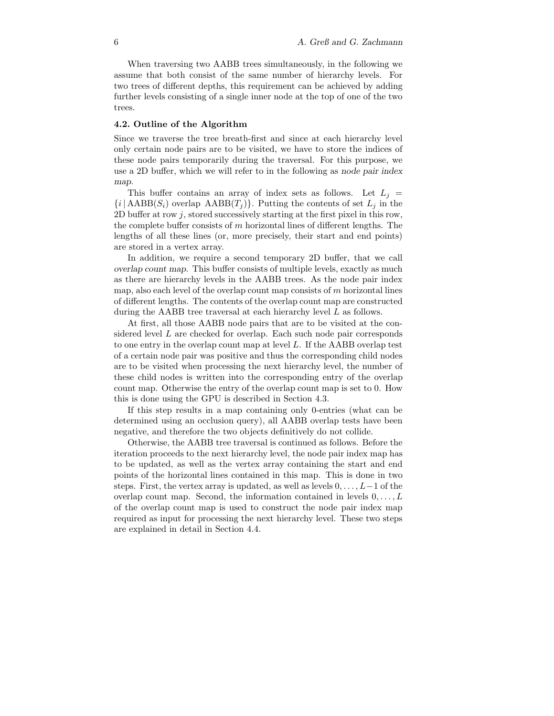When traversing two AABB trees simultaneously, in the following we assume that both consist of the same number of hierarchy levels. For two trees of different depths, this requirement can be achieved by adding further levels consisting of a single inner node at the top of one of the two trees.

## **4.2. Outline of the Algorithm**

Since we traverse the tree breath-first and since at each hierarchy level only certain node pairs are to be visited, we have to store the indices of these node pairs temporarily during the traversal. For this purpose, we use a 2D buffer, which we will refer to in the following as *node pair index map*.

This buffer contains an array of index sets as follows. Let  $L_j =$  $\{i | \text{AABB}(S_i) \text{ overlap } \text{AABB}(T_j)\}$ . Putting the contents of set  $L_j$  in the 2D buffer at row *j*, stored successively starting at the first pixel in this row, the complete buffer consists of *m* horizontal lines of different lengths. The lengths of all these lines (or, more precisely, their start and end points) are stored in a vertex array.

In addition, we require a second temporary 2D buffer, that we call *overlap count map*. This buffer consists of multiple levels, exactly as much as there are hierarchy levels in the AABB trees. As the node pair index map, also each level of the overlap count map consists of *m* horizontal lines of different lengths. The contents of the overlap count map are constructed during the AABB tree traversal at each hierarchy level *L* as follows.

At first, all those AABB node pairs that are to be visited at the considered level *L* are checked for overlap. Each such node pair corresponds to one entry in the overlap count map at level *L*. If the AABB overlap test of a certain node pair was positive and thus the corresponding child nodes are to be visited when processing the next hierarchy level, the number of these child nodes is written into the corresponding entry of the overlap count map. Otherwise the entry of the overlap count map is set to 0. How this is done using the GPU is described in Section 4.3.

If this step results in a map containing only 0-entries (what can be determined using an occlusion query), all AABB overlap tests have been negative, and therefore the two objects definitively do not collide.

Otherwise, the AABB tree traversal is continued as follows. Before the iteration proceeds to the next hierarchy level, the node pair index map has to be updated, as well as the vertex array containing the start and end points of the horizontal lines contained in this map. This is done in two steps. First, the vertex array is updated, as well as levels 0*,...,L*−1 of the overlap count map. Second, the information contained in levels 0*,...,L* of the overlap count map is used to construct the node pair index map required as input for processing the next hierarchy level. These two steps are explained in detail in Section 4.4.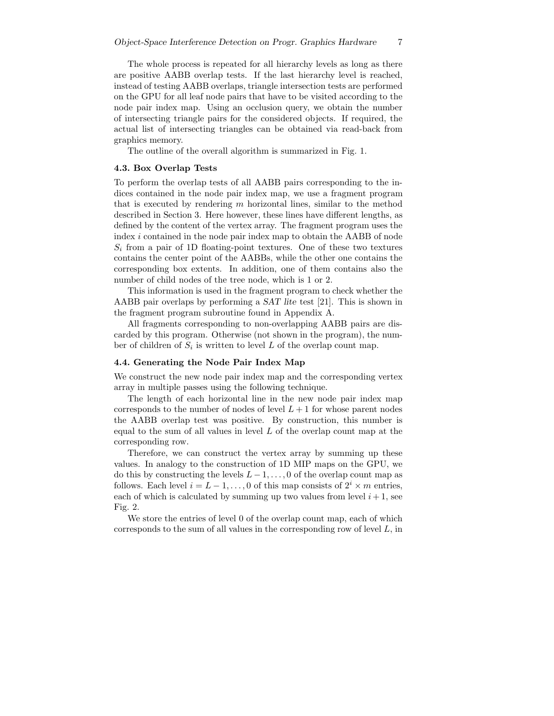The whole process is repeated for all hierarchy levels as long as there are positive AABB overlap tests. If the last hierarchy level is reached, instead of testing AABB overlaps, triangle intersection tests are performed on the GPU for all leaf node pairs that have to be visited according to the node pair index map. Using an occlusion query, we obtain the number of intersecting triangle pairs for the considered objects. If required, the actual list of intersecting triangles can be obtained via read-back from graphics memory.

The outline of the overall algorithm is summarized in Fig. 1.

### **4.3. Box Overlap Tests**

To perform the overlap tests of all AABB pairs corresponding to the indices contained in the node pair index map, we use a fragment program that is executed by rendering *m* horizontal lines, similar to the method described in Section 3. Here however, these lines have different lengths, as defined by the content of the vertex array. The fragment program uses the index *i* contained in the node pair index map to obtain the AABB of node  $S_i$  from a pair of 1D floating-point textures. One of these two textures contains the center point of the AABBs, while the other one contains the corresponding box extents. In addition, one of them contains also the number of child nodes of the tree node, which is 1 or 2.

This information is used in the fragment program to check whether the AABB pair overlaps by performing a *SAT lite* test [21]. This is shown in the fragment program subroutine found in Appendix A.

All fragments corresponding to non-overlapping AABB pairs are discarded by this program. Otherwise (not shown in the program), the number of children of  $S_i$  is written to level L of the overlap count map.

# **4.4. Generating the Node Pair Index Map**

We construct the new node pair index map and the corresponding vertex array in multiple passes using the following technique.

The length of each horizontal line in the new node pair index map corresponds to the number of nodes of level  $L+1$  for whose parent nodes the AABB overlap test was positive. By construction, this number is equal to the sum of all values in level *L* of the overlap count map at the corresponding row.

Therefore, we can construct the vertex array by summing up these values. In analogy to the construction of 1D MIP maps on the GPU, we do this by constructing the levels *L* − 1*,...,* 0 of the overlap count map as follows. Each level  $i = L - 1, \ldots, 0$  of this map consists of  $2^{i} \times m$  entries, each of which is calculated by summing up two values from level  $i + 1$ , see Fig. 2.

We store the entries of level 0 of the overlap count map, each of which corresponds to the sum of all values in the corresponding row of level *L*, in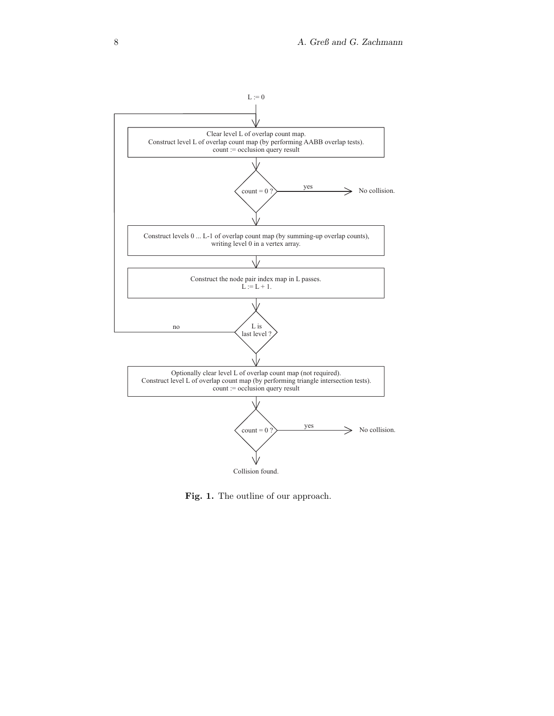

**Fig. 1.** The outline of our approach.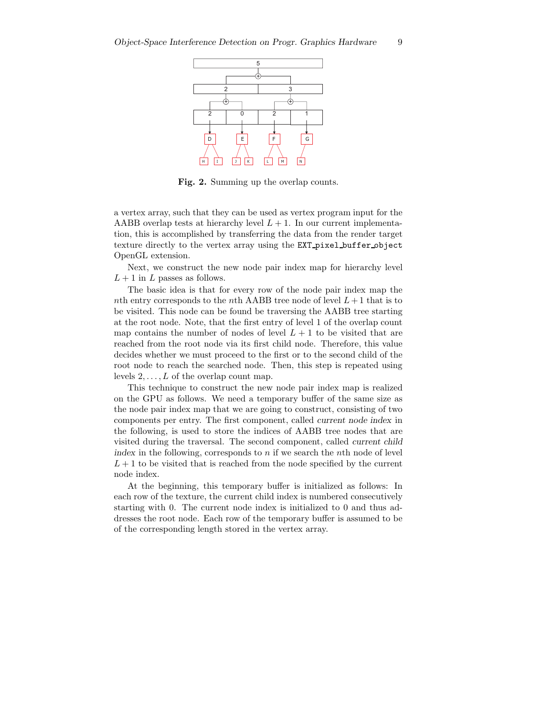

**Fig. 2.** Summing up the overlap counts.

a vertex array, such that they can be used as vertex program input for the AABB overlap tests at hierarchy level  $L + 1$ . In our current implementation, this is accomplished by transferring the data from the render target texture directly to the vertex array using the EXT pixel buffer object OpenGL extension.

Next, we construct the new node pair index map for hierarchy level  $L + 1$  in *L* passes as follows.

The basic idea is that for every row of the node pair index map the *n*th entry corresponds to the *n*th AABB tree node of level  $L+1$  that is to be visited. This node can be found be traversing the AABB tree starting at the root node. Note, that the first entry of level 1 of the overlap count map contains the number of nodes of level  $L + 1$  to be visited that are reached from the root node via its first child node. Therefore, this value decides whether we must proceed to the first or to the second child of the root node to reach the searched node. Then, this step is repeated using levels 2*,...,L* of the overlap count map.

This technique to construct the new node pair index map is realized on the GPU as follows. We need a temporary buffer of the same size as the node pair index map that we are going to construct, consisting of two components per entry. The first component, called *current node index* in the following, is used to store the indices of AABB tree nodes that are visited during the traversal. The second component, called *current child index* in the following, corresponds to *n* if we search the *n*th node of level  $L+1$  to be visited that is reached from the node specified by the current node index.

At the beginning, this temporary buffer is initialized as follows: In each row of the texture, the current child index is numbered consecutively starting with 0. The current node index is initialized to 0 and thus addresses the root node. Each row of the temporary buffer is assumed to be of the corresponding length stored in the vertex array.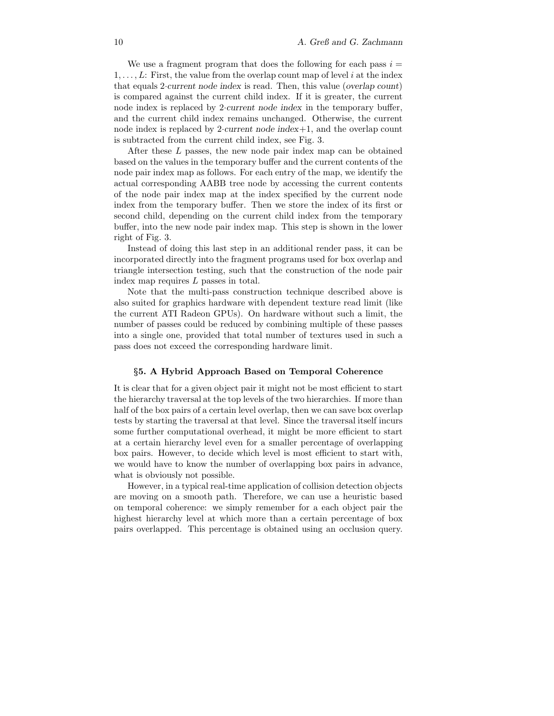We use a fragment program that does the following for each pass  $i =$ 1*,...,L*: First, the value from the overlap count map of level *i* at the index that equals 2·*current node index* is read. Then, this value (*overlap count*) is compared against the current child index. If it is greater, the current node index is replaced by 2·*current node index* in the temporary buffer, and the current child index remains unchanged. Otherwise, the current node index is replaced by 2·*current node index*+1, and the overlap count is subtracted from the current child index, see Fig. 3.

After these *L* passes, the new node pair index map can be obtained based on the values in the temporary buffer and the current contents of the node pair index map as follows. For each entry of the map, we identify the actual corresponding AABB tree node by accessing the current contents of the node pair index map at the index specified by the current node index from the temporary buffer. Then we store the index of its first or second child, depending on the current child index from the temporary buffer, into the new node pair index map. This step is shown in the lower right of Fig. 3.

Instead of doing this last step in an additional render pass, it can be incorporated directly into the fragment programs used for box overlap and triangle intersection testing, such that the construction of the node pair index map requires *L* passes in total.

Note that the multi-pass construction technique described above is also suited for graphics hardware with dependent texture read limit (like the current ATI Radeon GPUs). On hardware without such a limit, the number of passes could be reduced by combining multiple of these passes into a single one, provided that total number of textures used in such a pass does not exceed the corresponding hardware limit.

#### *§***5. A Hybrid Approach Based on Temporal Coherence**

It is clear that for a given object pair it might not be most efficient to start the hierarchy traversal at the top levels of the two hierarchies. If more than half of the box pairs of a certain level overlap, then we can save box overlap tests by starting the traversal at that level. Since the traversal itself incurs some further computational overhead, it might be more efficient to start at a certain hierarchy level even for a smaller percentage of overlapping box pairs. However, to decide which level is most efficient to start with, we would have to know the number of overlapping box pairs in advance, what is obviously not possible.

However, in a typical real-time application of collision detection objects are moving on a smooth path. Therefore, we can use a heuristic based on temporal coherence: we simply remember for a each object pair the highest hierarchy level at which more than a certain percentage of box pairs overlapped. This percentage is obtained using an occlusion query.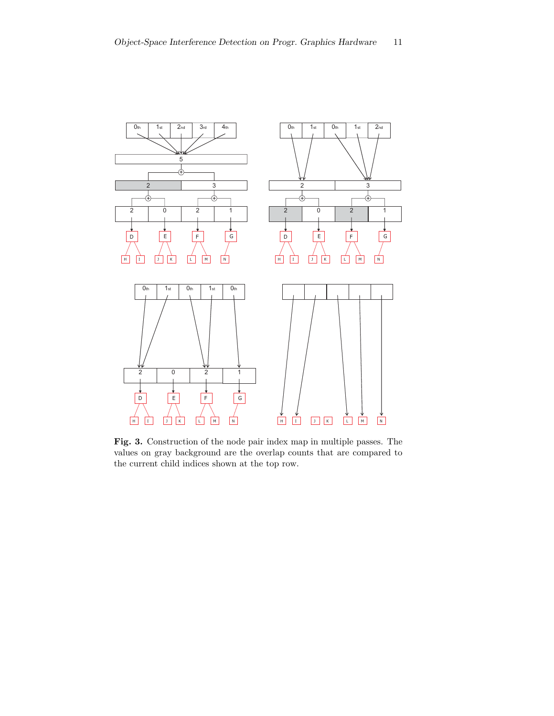

**Fig. 3.** Construction of the node pair index map in multiple passes. The values on gray background are the overlap counts that are compared to the current child indices shown at the top row.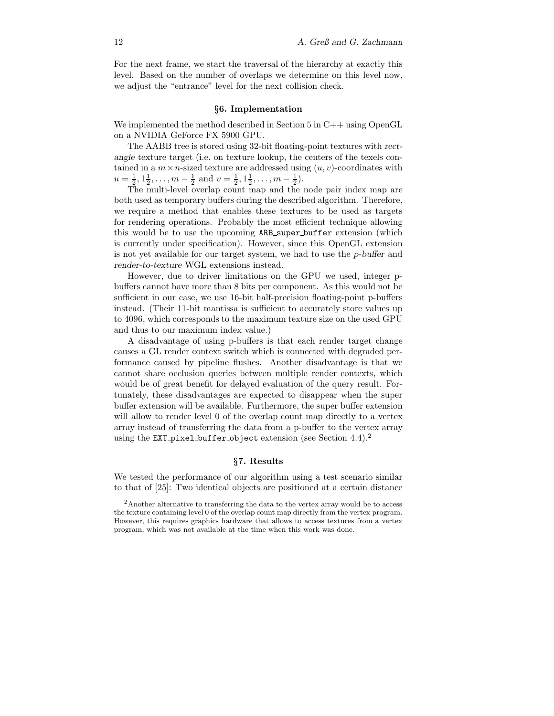For the next frame, we start the traversal of the hierarchy at exactly this level. Based on the number of overlaps we determine on this level now, we adjust the "entrance" level for the next collision check.

#### *§***6. Implementation**

We implemented the method described in Section 5 in C++ using OpenGL on a NVIDIA GeForce FX 5900 GPU.

The AABB tree is stored using 32-bit floating-point textures with *rectangle* texture target (i.e. on texture lookup, the centers of the texels contained in a  $m \times n$ -sized texture are addressed using  $(u, v)$ -coordinates with  $u = \frac{1}{2}, 1\frac{1}{2}, \ldots, m - \frac{1}{2}$  and  $v = \frac{1}{2}, 1\frac{1}{2}, \ldots, m - \frac{1}{2}$ .

The multi-level overlap count map and the node pair index map are both used as temporary buffers during the described algorithm. Therefore, we require a method that enables these textures to be used as targets for rendering operations. Probably the most efficient technique allowing this would be to use the upcoming ARB super buffer extension (which is currently under specification). However, since this OpenGL extension is not yet available for our target system, we had to use the *p-buffer* and *render-to-texture* WGL extensions instead.

However, due to driver limitations on the GPU we used, integer pbuffers cannot have more than 8 bits per component. As this would not be sufficient in our case, we use 16-bit half-precision floating-point p-buffers instead. (Their 11-bit mantissa is sufficient to accurately store values up to 4096, which corresponds to the maximum texture size on the used GPU and thus to our maximum index value.)

A disadvantage of using p-buffers is that each render target change causes a GL render context switch which is connected with degraded performance caused by pipeline flushes. Another disadvantage is that we cannot share occlusion queries between multiple render contexts, which would be of great benefit for delayed evaluation of the query result. Fortunately, these disadvantages are expected to disappear when the super buffer extension will be available. Furthermore, the super buffer extension will allow to render level 0 of the overlap count map directly to a vertex array instead of transferring the data from a p-buffer to the vertex array using the EXT pixel buffer object extension (see Section 4.4).<sup>2</sup>

# *§***7. Results**

We tested the performance of our algorithm using a test scenario similar to that of [25]: Two identical objects are positioned at a certain distance

<sup>2</sup>Another alternative to transferring the data to the vertex array would be to access the texture containing level 0 of the overlap count map directly from the vertex program. However, this requires graphics hardware that allows to access textures from a vertex program, which was not available at the time when this work was done.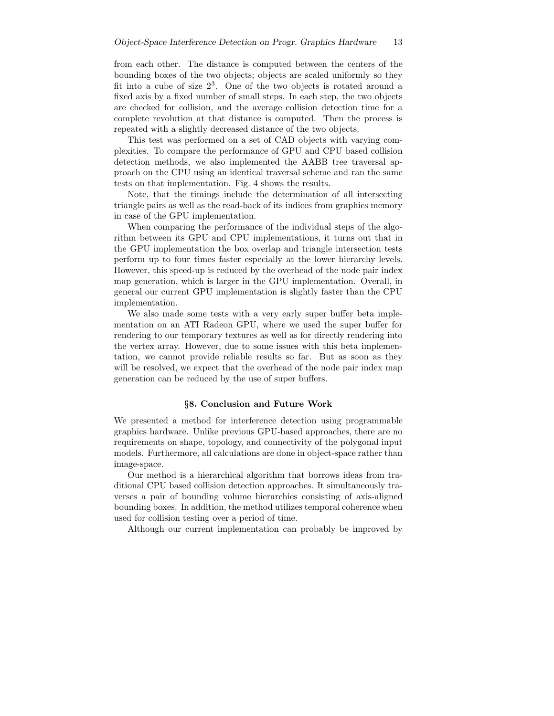from each other. The distance is computed between the centers of the bounding boxes of the two objects; objects are scaled uniformly so they fit into a cube of size  $2<sup>3</sup>$ . One of the two objects is rotated around a fixed axis by a fixed number of small steps. In each step, the two objects are checked for collision, and the average collision detection time for a complete revolution at that distance is computed. Then the process is repeated with a slightly decreased distance of the two objects.

This test was performed on a set of CAD objects with varying complexities. To compare the performance of GPU and CPU based collision detection methods, we also implemented the AABB tree traversal approach on the CPU using an identical traversal scheme and ran the same tests on that implementation. Fig. 4 shows the results.

Note, that the timings include the determination of all intersecting triangle pairs as well as the read-back of its indices from graphics memory in case of the GPU implementation.

When comparing the performance of the individual steps of the algorithm between its GPU and CPU implementations, it turns out that in the GPU implementation the box overlap and triangle intersection tests perform up to four times faster especially at the lower hierarchy levels. However, this speed-up is reduced by the overhead of the node pair index map generation, which is larger in the GPU implementation. Overall, in general our current GPU implementation is slightly faster than the CPU implementation.

We also made some tests with a very early super buffer beta implementation on an ATI Radeon GPU, where we used the super buffer for rendering to our temporary textures as well as for directly rendering into the vertex array. However, due to some issues with this beta implementation, we cannot provide reliable results so far. But as soon as they will be resolved, we expect that the overhead of the node pair index map generation can be reduced by the use of super buffers.

# *§***8. Conclusion and Future Work**

We presented a method for interference detection using programmable graphics hardware. Unlike previous GPU-based approaches, there are no requirements on shape, topology, and connectivity of the polygonal input models. Furthermore, all calculations are done in object-space rather than image-space.

Our method is a hierarchical algorithm that borrows ideas from traditional CPU based collision detection approaches. It simultaneously traverses a pair of bounding volume hierarchies consisting of axis-aligned bounding boxes. In addition, the method utilizes temporal coherence when used for collision testing over a period of time.

Although our current implementation can probably be improved by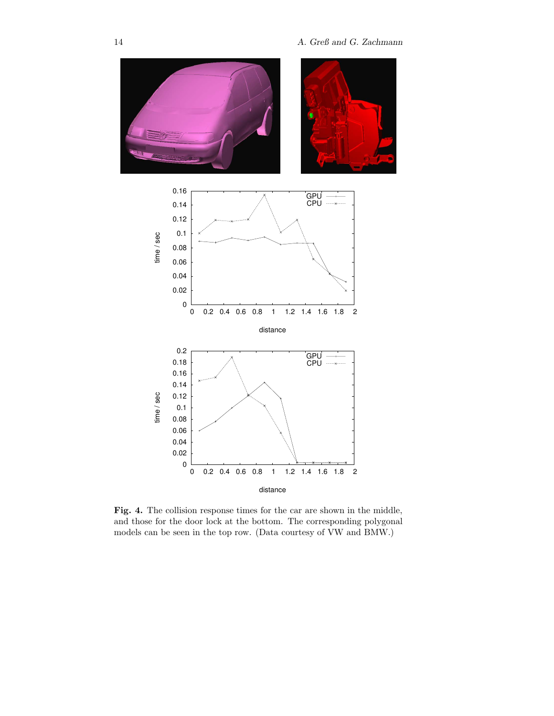

**Fig. 4.** The collision response times for the car are shown in the middle, and those for the door lock at the bottom. The corresponding polygonal models can be seen in the top row. (Data courtesy of VW and BMW.)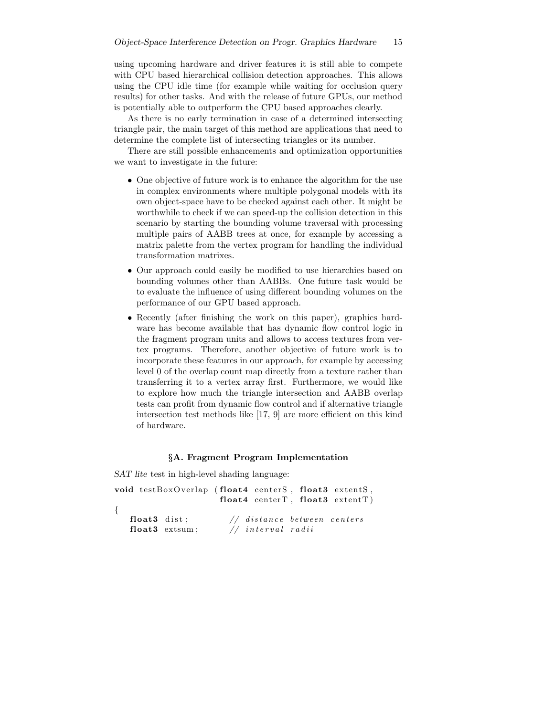using upcoming hardware and driver features it is still able to compete with CPU based hierarchical collision detection approaches. This allows using the CPU idle time (for example while waiting for occlusion query results) for other tasks. And with the release of future GPUs, our method is potentially able to outperform the CPU based approaches clearly.

As there is no early termination in case of a determined intersecting triangle pair, the main target of this method are applications that need to determine the complete list of intersecting triangles or its number.

There are still possible enhancements and optimization opportunities we want to investigate in the future:

- One objective of future work is to enhance the algorithm for the use in complex environments where multiple polygonal models with its own object-space have to be checked against each other. It might be worthwhile to check if we can speed-up the collision detection in this scenario by starting the bounding volume traversal with processing multiple pairs of AABB trees at once, for example by accessing a matrix palette from the vertex program for handling the individual transformation matrixes.
- Our approach could easily be modified to use hierarchies based on bounding volumes other than AABBs. One future task would be to evaluate the influence of using different bounding volumes on the performance of our GPU based approach.
- Recently (after finishing the work on this paper), graphics hardware has become available that has dynamic flow control logic in the fragment program units and allows to access textures from vertex programs. Therefore, another objective of future work is to incorporate these features in our approach, for example by accessing level 0 of the overlap count map directly from a texture rather than transferring it to a vertex array first. Furthermore, we would like to explore how much the triangle intersection and AABB overlap tests can profit from dynamic flow control and if alternative triangle intersection test methods like [17, 9] are more efficient on this kind of hardware.

# *§***A. Fragment Program Implementation**

*SAT lite* test in high-level shading language:

```
void testBoxOverlap ( float4 centerS , float3 extentS ,
                    float4 centerT , float3 extentT )
{
  float3 dist; // distance between centers
  float3 extsum; // interval radii
```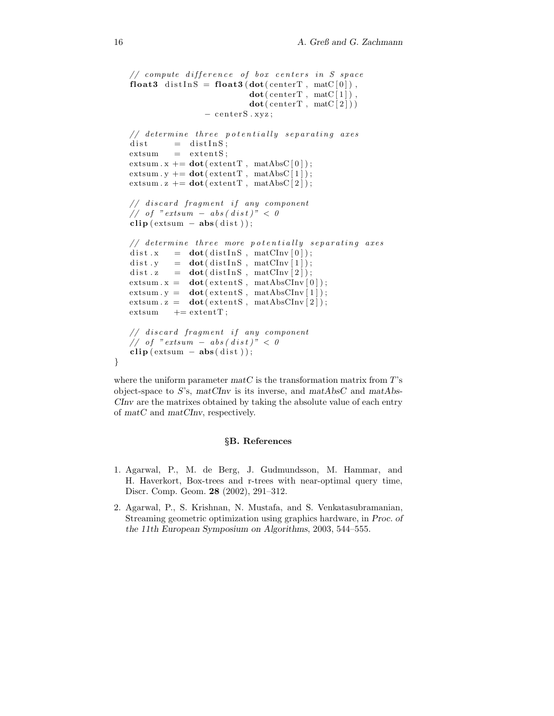```
// compute d i f ference of box centers in S space
float3 distInS = float3 (dot ( centerT, matC[0]),
                           dot(centerT, matC[1]),dot(centerT, matC[2]))− centerS . xyz;
// determine three p o ten t i ally separat ing axes
dist = distInS ;extsum = extents;extsum x += dot(extentT, matAbsC[0]);extsum .y \neq dot(extentT, matAbsC[1]);extsum z \neq = \text{dot}(\text{extent}T, \text{matAbs}C[2]);// discard fragment i f any component
// of " extsum − abs ( d is t )" < 0
clip (extsum − abs (dist ));
// determine three more p o t e n t i a ll y se p ar a t i ng axes
dist.x = dot(distInS , matCInv[0]);dist y = dot(distInS, matCInv[1]);dist.z = dot ( dist In S, matCInv [2] );
extsum x = \textbf{dot}(\text{extentS}, \text{matAbsCInv}[0]);extsum y = dot(extent S, matAbsCInv[1]);extsum z = dot(extent S, matAbsCInv[2]);extsum += extentT;
// discard fragment i f any component
// of " extsum − abs ( d is t )" < 0
\text{clip}(\text{extsum} - \text{abs}(\text{dist}));
```
where the uniform parameter  $m \in C$  is the transformation matrix from  $T$ 's object-space to *S*'s, *matCInv* is its inverse, and *matAbsC* and *matAbs-CInv* are the matrixes obtained by taking the absolute value of each entry of *matC* and *matCInv*, respectively.

# *§***B. References**

- 1. Agarwal, P., M. de Berg, J. Gudmundsson, M. Hammar, and H. Haverkort, Box-trees and r-trees with near-optimal query time, Discr. Comp. Geom. **28** (2002), 291–312.
- 2. Agarwal, P., S. Krishnan, N. Mustafa, and S. Venkatasubramanian, Streaming geometric optimization using graphics hardware, in *Proc. of the 11th European Symposium on Algorithms*, 2003, 544–555.

*}*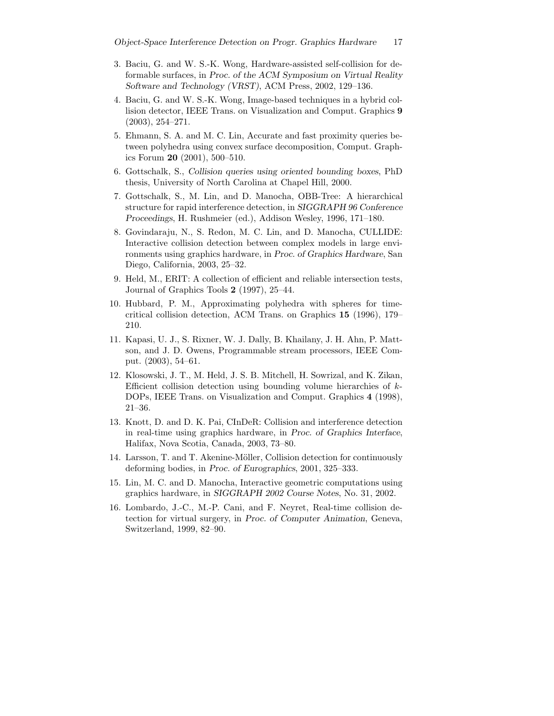- 3. Baciu, G. and W. S.-K. Wong, Hardware-assisted self-collision for deformable surfaces, in *Proc. of the ACM Symposium on Virtual Reality Software and Technology (VRST)*, ACM Press, 2002, 129–136.
- 4. Baciu, G. and W. S.-K. Wong, Image-based techniques in a hybrid collision detector, IEEE Trans. on Visualization and Comput. Graphics **9** (2003), 254–271.
- 5. Ehmann, S. A. and M. C. Lin, Accurate and fast proximity queries between polyhedra using convex surface decomposition, Comput. Graphics Forum **20** (2001), 500–510.
- 6. Gottschalk, S., *Collision queries using oriented bounding boxes*, PhD thesis, University of North Carolina at Chapel Hill, 2000.
- 7. Gottschalk, S., M. Lin, and D. Manocha, OBB-Tree: A hierarchical structure for rapid interference detection, in *SIGGRAPH 96 Conference Proceedings*, H. Rushmeier (ed.), Addison Wesley, 1996, 171–180.
- 8. Govindaraju, N., S. Redon, M. C. Lin, and D. Manocha, CULLIDE: Interactive collision detection between complex models in large environments using graphics hardware, in *Proc. of Graphics Hardware*, San Diego, California, 2003, 25–32.
- 9. Held, M., ERIT: A collection of efficient and reliable intersection tests, Journal of Graphics Tools **2** (1997), 25–44.
- 10. Hubbard, P. M., Approximating polyhedra with spheres for timecritical collision detection, ACM Trans. on Graphics **15** (1996), 179– 210.
- 11. Kapasi, U. J., S. Rixner, W. J. Dally, B. Khailany, J. H. Ahn, P. Mattson, and J. D. Owens, Programmable stream processors, IEEE Comput. (2003), 54–61.
- 12. Klosowski, J. T., M. Held, J. S. B. Mitchell, H. Sowrizal, and K. Zikan, Efficient collision detection using bounding volume hierarchies of *k*-DOPs, IEEE Trans. on Visualization and Comput. Graphics **4** (1998), 21–36.
- 13. Knott, D. and D. K. Pai, CInDeR: Collision and interference detection in real-time using graphics hardware, in *Proc. of Graphics Interface*, Halifax, Nova Scotia, Canada, 2003, 73–80.
- 14. Larsson, T. and T. Akenine-Möller, Collision detection for continuously deforming bodies, in *Proc. of Eurographics*, 2001, 325–333.
- 15. Lin, M. C. and D. Manocha, Interactive geometric computations using graphics hardware, in *SIGGRAPH 2002 Course Notes*, No. 31, 2002.
- 16. Lombardo, J.-C., M.-P. Cani, and F. Neyret, Real-time collision detection for virtual surgery, in *Proc. of Computer Animation*, Geneva, Switzerland, 1999, 82–90.